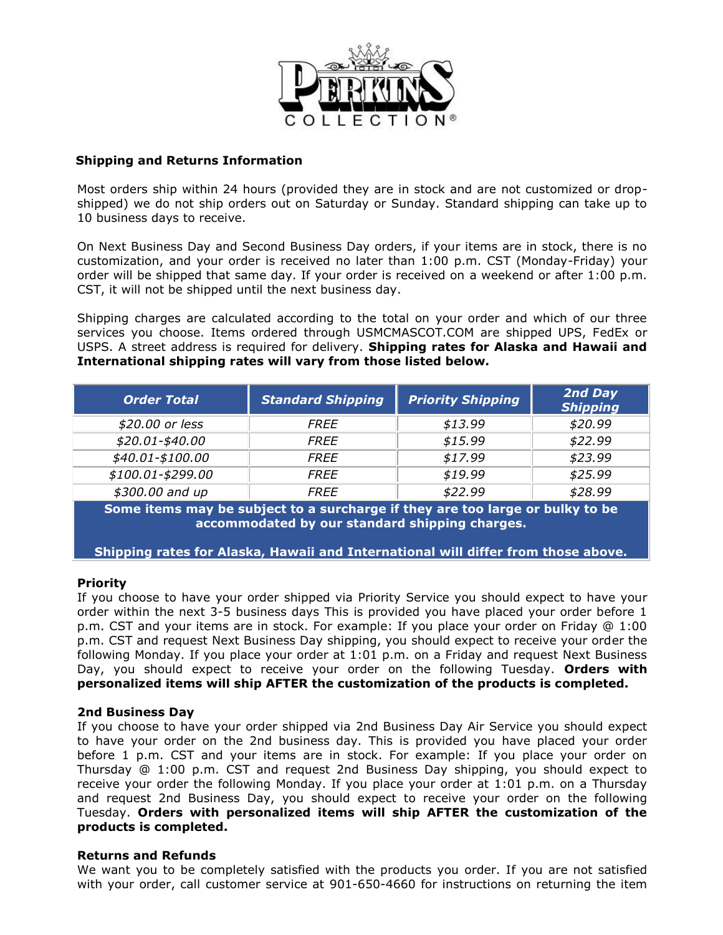

## **Shipping and Returns Information**

Most orders ship within 24 hours (provided they are in stock and are not customized or dropshipped) we do not ship orders out on Saturday or Sunday. Standard shipping can take up to 10 business days to receive.

On Next Business Day and Second Business Day orders, if your items are in stock, there is no customization, and your order is received no later than 1:00 p.m. CST (Monday-Friday) your order will be shipped that same day. If your order is received on a weekend or after 1:00 p.m. CST, it will not be shipped until the next business day.

Shipping charges are calculated according to the total on your order and which of our three services you choose. Items ordered through USMCMASCOT.COM are shipped UPS, FedEx or USPS. A street address is required for delivery. **Shipping rates for Alaska and Hawaii and International shipping rates will vary from those listed below.**

| <b>Order Total</b> | <b>Standard Shipping</b> | <b>Priority Shipping</b> | 2nd Day<br><b>Shipping</b> |
|--------------------|--------------------------|--------------------------|----------------------------|
| \$20.00 or less    | <b>FREE</b>              | \$13.99                  | \$20.99                    |
| \$20.01-\$40.00    | <b>FREE</b>              | \$15.99                  | \$22.99                    |
| \$40.01-\$100.00   | <b>FREE</b>              | \$17.99                  | \$23.99                    |
| \$100.01-\$299.00  | <i>FREE</i>              | \$19.99                  | \$25.99                    |
| \$300.00 and up    | <i>FREE</i>              | \$22.99                  | \$28.99                    |

**Some items may be subject to a surcharge if they are too large or bulky to be accommodated by our standard shipping charges.**

**Shipping rates for Alaska, Hawaii and International will differ from those above.** 

## **Priority**

If you choose to have your order shipped via Priority Service you should expect to have your order within the next 3-5 business days This is provided you have placed your order before 1 p.m. CST and your items are in stock. For example: If you place your order on Friday @ 1:00 p.m. CST and request Next Business Day shipping, you should expect to receive your order the following Monday. If you place your order at 1:01 p.m. on a Friday and request Next Business Day, you should expect to receive your order on the following Tuesday. **Orders with personalized items will ship AFTER the customization of the products is completed.**

## **2nd Business Day**

If you choose to have your order shipped via 2nd Business Day Air Service you should expect to have your order on the 2nd business day. This is provided you have placed your order before 1 p.m. CST and your items are in stock. For example: If you place your order on Thursday @ 1:00 p.m. CST and request 2nd Business Day shipping, you should expect to receive your order the following Monday. If you place your order at 1:01 p.m. on a Thursday and request 2nd Business Day, you should expect to receive your order on the following Tuesday. **Orders with personalized items will ship AFTER the customization of the products is completed.**

## **Returns and Refunds**

We want you to be completely satisfied with the products you order. If you are not satisfied with your order, call customer service at 901-650-4660 for instructions on returning the item